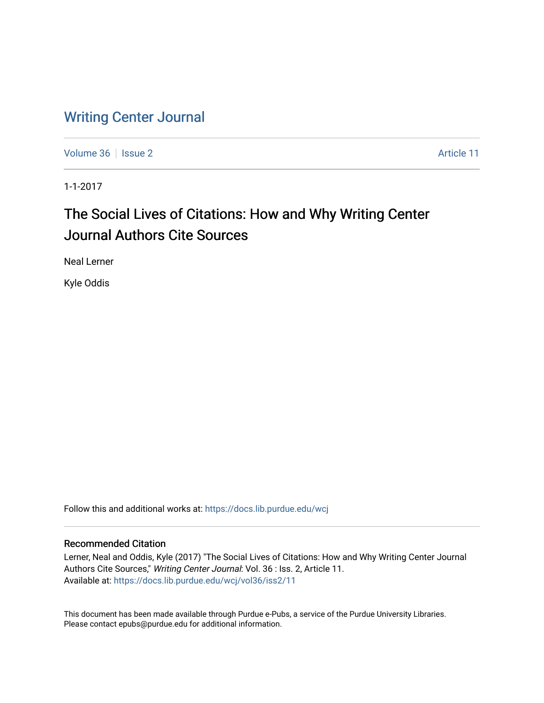# [Writing Center Journal](https://docs.lib.purdue.edu/wcj)

[Volume 36](https://docs.lib.purdue.edu/wcj/vol36) | [Issue 2](https://docs.lib.purdue.edu/wcj/vol36/iss2) Article 11

1-1-2017

# The Social Lives of Citations: How and Why Writing Center Journal Authors Cite Sources

Neal Lerner

Kyle Oddis

Follow this and additional works at: [https://docs.lib.purdue.edu/wcj](https://docs.lib.purdue.edu/wcj?utm_source=docs.lib.purdue.edu%2Fwcj%2Fvol36%2Fiss2%2F11&utm_medium=PDF&utm_campaign=PDFCoverPages) 

# Recommended Citation

Lerner, Neal and Oddis, Kyle (2017) "The Social Lives of Citations: How and Why Writing Center Journal Authors Cite Sources," Writing Center Journal: Vol. 36 : Iss. 2, Article 11. Available at: [https://docs.lib.purdue.edu/wcj/vol36/iss2/11](https://docs.lib.purdue.edu/wcj/vol36/iss2/11?utm_source=docs.lib.purdue.edu%2Fwcj%2Fvol36%2Fiss2%2F11&utm_medium=PDF&utm_campaign=PDFCoverPages)

This document has been made available through Purdue e-Pubs, a service of the Purdue University Libraries. Please contact epubs@purdue.edu for additional information.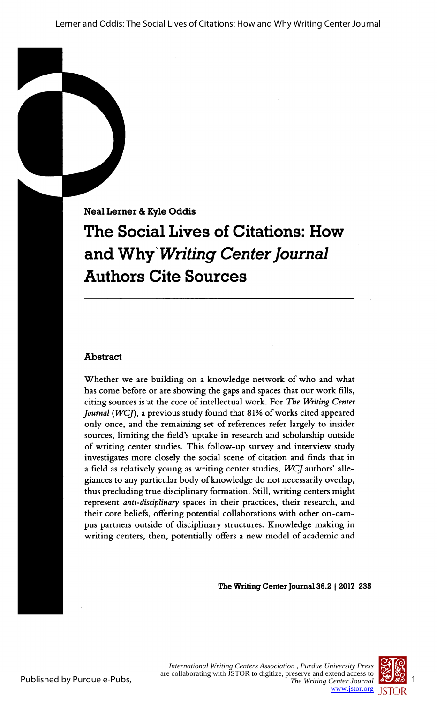Lerner and Oddis: The Social Lives of Citations: How and Why Writing Center Journal

Neal Lerner & Kyle Oddìs

# The Social Lives of Citations: How and Why Writing Center Journal Authors Cite Sources

# **Abstract**

 Whether we are building on a knowledge network of who and what has come before or are showing the gaps and spaces that our work fills, citing sources is at the core of intellectual work. For The Writing Center Journal ( $WCI$ ), a previous study found that 81% of works cited appeared only once, and the remaining set of references refer largely to insider sources, limiting the field's uptake in research and scholarship outside of writing center studies. This follow-up survey and interview study investigates more closely the social scene of citation and finds that in a field as relatively young as writing center studies,  $WCJ$  authors' alle giances to any particular body of knowledge do not necessarily overlap, thus precluding true disciplinary formation. Still, writing centers might represent anti-disciplinary spaces in their practices, their research, and their core beliefs, offering potential collaborations with other on-cam pus partners outside of disciplinary structures. Knowledge making in writing centers, then, potentially offers a new model of academic and

The Writing Center Journal 36.2 | 2017 235



Published by Purdue e-Pubs,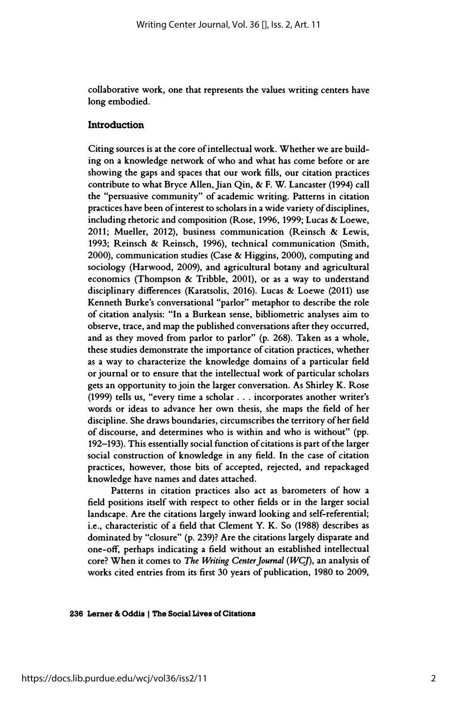collaborative work, one that represents the values writing centers have long embodied.

### **Introduction**

 Citing sources is at the core of intellectual work. Whether we are build ing on a knowledge network of who and what has come before or are showing the gaps and spaces that our work fills, our citation practices contribute to what Bryce Allen, Jian Qin, & F. W. Lancaster (1994) call the "persuasive community" of academic writing. Patterns in citation practices have been of interest to scholars in a wide variety of disciplines, including rhetoric and composition (Rose, 1996, 1999; Lucas & Loewe, 2011; Mueller, 2012), business communication (Reinsch & Lewis, 1993; Reinsch & Reinsch, 1996), technical communication (Smith, 2000), communication studies (Case & Higgins, 2000), computing and sociology (Harwood, 2009), and agricultural botany and agricultural economics (Thompson & Tribble, 2001), or as a way to understand disciplinary differences (Karatsolis, 2016). Lucas & Loewe (2011) use Kenneth Burke's conversational "parlor" metaphor to describe the role of citation analysis: "In a Burkean sense, bibliometric analyses aim to observe, trace, and map the published conversations after they occurred, and as they moved from parlor to parlor" (p. 268). Taken as a whole, these studies demonstrate the importance of citation practices, whether as a way to characterize the knowledge domains of a particular field or journal or to ensure that the intellectual work of particular scholars gets an opportunity to join the larger conversation. As Shirley K. Rose (1999) tells us, "every time a scholar . . . incorporates another writer's words or ideas to advance her own thesis, she maps the field of her discipline. She draws boundaries, circumscribes the territory of her field of discourse, and determines who is within and who is without" (pp. 192-193). This essentially social function of citations is part of the larger social construction of knowledge in any field. In the case of citation practices, however, those bits of accepted, rejected, and repackaged knowledge have names and dates attached.

 Patterns in citation practices also act as barometers of how a field positions itself with respect to other fields or in the larger social landscape. Are the citations largely inward looking and self-referential; i.e., characteristic of a field that Clement Y. K. So (1988) describes as dominated by "closure" (p. 239)? Are the citations largely disparate and one-off, perhaps indicating a field without an established intellectual core? When it comes to The Writing Center Journal (WCJ), an analysis of works cited entries from its first 30 years of publication, 1980 to 2009,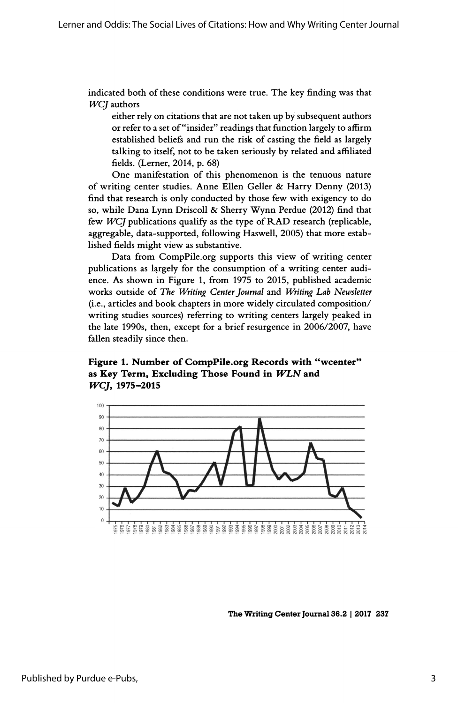indicated both of these conditions were true. The key finding was that WCJ authors

 either rely on citations that are not taken up by subsequent authors or refer to a set of "insider" readings that function largely to affirm established beliefs and run the risk of casting the field as largely talking to itself, not to be taken seriously by related and affiliated fields. (Lerner, 2014, p. 68)

 One manifestation of this phenomenon is the tenuous nature of writing center studies. Anne Ellen Geller & Harry Denny (2013) find that research is only conducted by those few with exigency to do so, while Dana Lynn Driscoll & Sherry Wynn Perdue (2012) find that few  $WCJ$  publications qualify as the type of  $RAD$  research (replicable, aggregable, data-supported, following Haswell, 2005) that more estab lished fields might view as substantive.

 Data from CompPile.org supports this view of writing center publications as largely for the consumption of a writing center audi ence. As shown in Figure 1, from 1975 to 2015, published academic works outside of The Writing Center Journal and Writing Lab Newsletter (i.e., articles and book chapters in more widely circulated composition/ writing studies sources) referring to writing centers largely peaked in the late 1990s, then, except for a brief resurgence in 2006/2007, have fallen steadily since then.

 Figure 1. Number of CompPile.org Records with "wcenter" as Key Term, Excluding Those Found in *WLN* and WCJ, 1975-2015



The Writing Center Journal 36.2 | 2017 237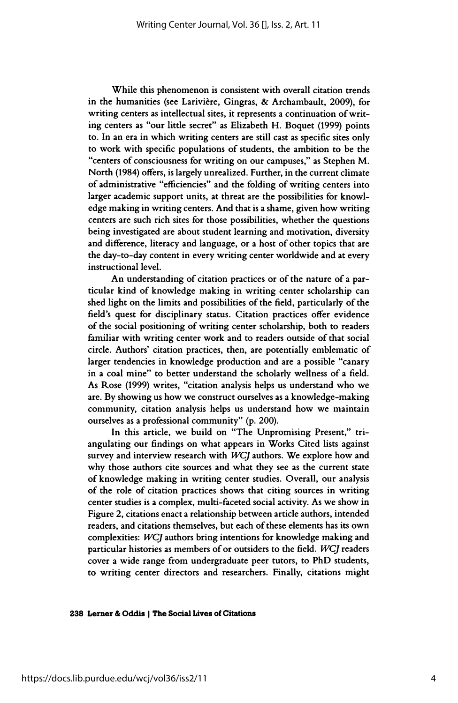While this phenomenon is consistent with overall citation trends in the humanities (see Larivière, Gingras, & Archambault, 2009), for writing centers as intellectual sites, it represents a continuation of writ ing centers as "our little secret" as Elizabeth H. Boquet (1999) points to. In an era in which writing centers are still cast as specific sites only to work with specific populations of students, the ambition to be the "centers of consciousness for writing on our campuses," as Stephen M. North (1984) offers, is largely unrealized. Further, in the current climate of administrative "efficiencies" and the folding of writing centers into larger academic support units, at threat are the possibilities for knowl edge making in writing centers. And that is a shame, given how writing centers are such rich sites for those possibilities, whether the questions being investigated are about student learning and motivation, diversity and difference, literacy and language, or a host of other topics that are the day-to-day content in every writing center worldwide and at every instructional level.

 An understanding of citation practices or of the nature of a par ticular kind of knowledge making in writing center scholarship can shed light on the limits and possibilities of the field, particularly of the field's quest for disciplinary status. Citation practices offer evidence of the social positioning of writing center scholarship, both to readers familiar with writing center work and to readers outside of that social circle. Authors' citation practices, then, are potentially emblematic of larger tendencies in knowledge production and are a possible "canary in a coal mine" to better understand the scholarly wellness of a field. As Rose (1999) writes, "citation analysis helps us understand who we are. By showing us how we construct ourselves as a knowledge-making community, citation analysis helps us understand how we maintain ourselves as a professional community" (p. 200).

 In this article, we build on "The Unpromising Present," tri angulating our findings on what appears in Works Cited lists against survey and interview research with WCJ authors. We explore how and why those authors cite sources and what they see as the current state of knowledge making in writing center studies. Overall, our analysis of the role of citation practices shows that citing sources in writing center studies is a complex, multi-faceted social activity. As we show in Figure 2, citations enact a relationship between article authors, intended readers, and citations themselves, but each of these elements has its own complexities: WCJ authors bring intentions for knowledge making and particular histories as members of or outsiders to the field. WCJ readers cover a wide range from undergraduate peer tutors, to PhD students, to writing center directors and researchers. Finally, citations might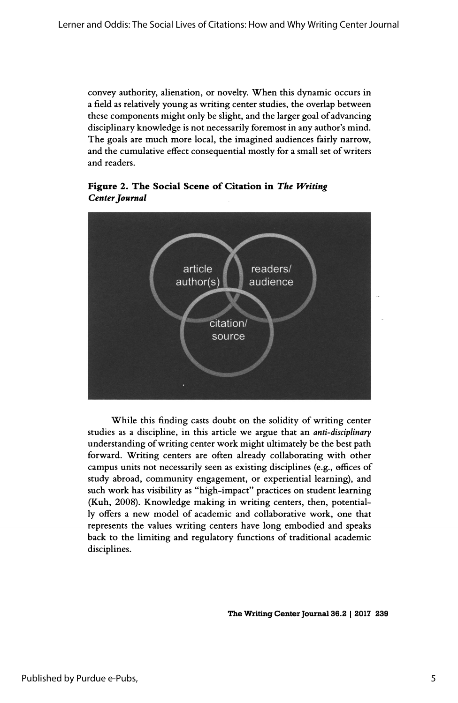convey authority, alienation, or novelty. When this dynamic occurs in a field as relatively young as writing center studies, the overlap between these components might only be slight, and the larger goal of advancing disciplinary knowledge is not necessarily foremost in any author's mind. The goals are much more local, the imagined audiences fairly narrow, and the cumulative effect consequential mostly for a small set of writers and readers.



 Figure 2. The Social Scene of Citation in The Writing Center Journal

 While this finding casts doubt on the solidity of writing center studies as a discipline, in this article we argue that an *anti-disciplinary*  understanding of writing center work might ultimately be the best path forward. Writing centers are often already collaborating with other campus units not necessarily seen as existing disciplines (e.g., offices of study abroad, community engagement, or experiential learning), and such work has visibility as "high-impact" practices on student learning (Kuh, 2008). Knowledge making in writing centers, then, potential ly offers a new model of academic and collaborative work, one that represents the values writing centers have long embodied and speaks back to the limiting and regulatory functions of traditional academic disciplines.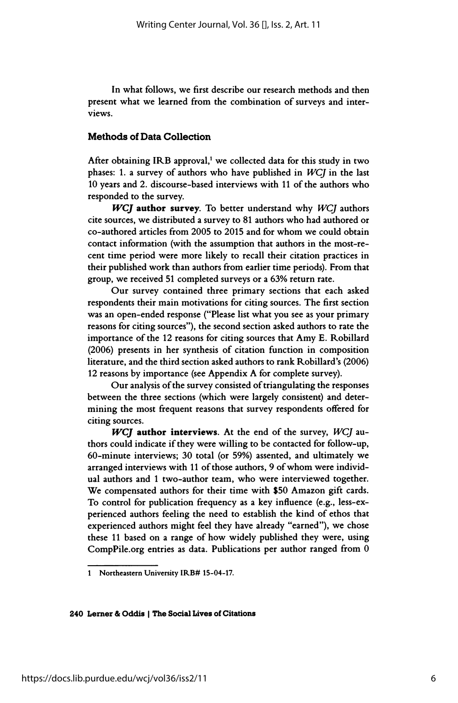In what follows, we first describe our research methods and then present what we learned from the combination of surveys and inter views.

### Methods of Data Collection

After obtaining IRB approval, $1$  we collected data for this study in two phases: 1. a survey of authors who have published in WCJ in the last 10 years and 2. discourse-based interviews with 11 of the authors who responded to the survey.

WCJ author survey. To better understand why WCJ authors cite sources, we distributed a survey to 81 authors who had authored or co-authored articles from 2005 to 2015 and for whom we could obtain contact information (with the assumption that authors in the most-re cent time period were more likely to recall their citation practices in their published work than authors from earlier time periods). From that group, we received 51 completed surveys or a 63% return rate.

 Our survey contained three primary sections that each asked respondents their main motivations for citing sources. The first section was an open-ended response ("Please list what you see as your primary reasons for citing sources"), the second section asked authors to rate the importance of the 12 reasons for citing sources that Amy E. Robillard (2006) presents in her synthesis of citation function in composition literature, and the third section asked authors to rank Robillard's (2006) 12 reasons by importance (see Appendix A for complete survey).

 Our analysis of the survey consisted of triangulating the responses between the three sections (which were largely consistent) and deter mining the most frequent reasons that survey respondents offered for citing sources.

 $WCJ$  author interviews. At the end of the survey,  $WCJ$  au thors could indicate if they were willing to be contacted for follow-up, 60-minute interviews; 30 total (or 59%) assented, and ultimately we arranged interviews with 11 of those authors, 9 of whom were individ ual authors and 1 two-author team, who were interviewed together. We compensated authors for their time with \$50 Amazon gift cards. To control for publication frequency as a key influence (e.g., less-ex perienced authors feeling the need to establish the kind of ethos that experienced authors might feel they have already "earned"), we chose these 11 based on a range of how widely published they were, using CompPile.org entries as data. Publications per author ranged from 0

 <sup>1</sup> Northeastern University IRB# 15-04-17.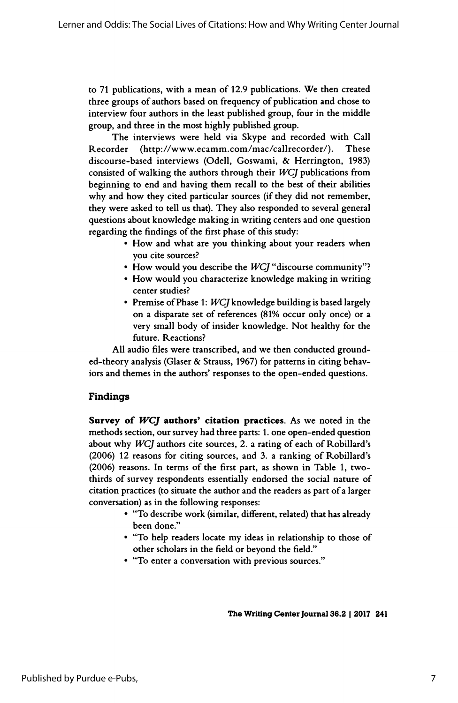to 71 publications, with a mean of 12.9 publications. We then created three groups of authors based on frequency of publication and chose to interview four authors in the least published group, four in the middle group, and three in the most highly published group.

The interviews were held via Skype and recorded with Call<br>rder (http://www.ecamm.com/mac/callrecorder/). These Recorder (http://www.ecamm.com/mac/callrecorder/). discourse-based interviews (Odell, Goswami, & Herrington, 1983) consisted of walking the authors through their  $WCJ$  publications from beginning to end and having them recall to the best of their abilities why and how they cited particular sources (if they did not remember, they were asked to tell us that). They also responded to several general questions about knowledge making in writing centers and one question regarding the findings of the first phase of this study:

- How and what are you thinking about your readers when you cite sources?
- How would you describe the WCJ "discourse community"?
- How would you characterize knowledge making in writing center studies?
- Premise of Phase 1: WCJ knowledge building is based largely on a disparate set of references (81% occur only once) or a very small body of insider knowledge. Not healthy for the future. Reactions?

 All audio files were transcribed, and we then conducted ground ed-theory analysis (Glaser & Strauss, 1967) for patterns in citing behav iors and themes in the authors' responses to the open-ended questions.

# Findings

Survey of  $WCJ$  authors' citation practices. As we noted in the methods section, our survey had three parts: 1. one open-ended question about why WCJ authors cite sources, 2. a rating of each of Robillard's (2006) 12 reasons for citing sources, and 3. a ranking of Robillard's (2006) reasons. In terms of the first part, as shown in Table 1, two thirds of survey respondents essentially endorsed the social nature of citation practices (to situate the author and the readers as part of a larger conversation) as in the following responses:

- "To describe work (similar, different, related) that has already been done."
- "To help readers locate my ideas in relationship to those of other scholars in the field or beyond the field."
- "To enter a conversation with previous sources."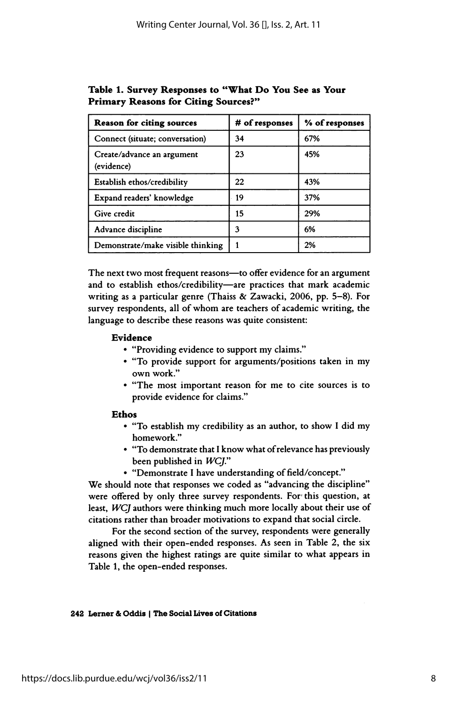| <b>Reason for citing sources</b>         | # of responses | % of responses |
|------------------------------------------|----------------|----------------|
| Connect (situate; conversation)          | 34             | 67%            |
| Create/advance an argument<br>(evidence) | 23             | 45%            |
| Establish ethos/credibility              | 22             | 43%            |
| Expand readers' knowledge                | 19             | 37%            |
| Give credit                              | 15             | 29%            |
| Advance discipline                       | 3              | 6%             |
| Demonstrate/make visible thinking        |                | 2%             |

 Table 1. Survey Responses to "What Do You See as Your Primary Reasons for Citing Sources?"

The next two most frequent reasons-to offer evidence for an argument and to establish ethos/credibility-are practices that mark academic writing as a particular genre (Thaiss & Zawacki, 2006, pp. 5-8). For survey respondents, all of whom are teachers of academic writing, the language to describe these reasons was quite consistent:

#### Evidence

- "Providing evidence to support my claims."
- "To provide support for arguments/positions taken in my own work."
- "The most important reason for me to cite sources is to provide evidence for claims."

#### Ethos

- "To establish my credibility as an author, to show I did my homework."
- "To demonstrate that I know what of relevance has previously been published in WCJ."
- "Demonstrate I have understanding of field/concept."

 We should note that responses we coded as "advancing the discipline" were offered by only three survey respondents. For this question, at least, WCJ authors were thinking much more locally about their use of citations rather than broader motivations to expand that social circle.

 For the second section of the survey, respondents were generally aligned with their open-ended responses. As seen in Table 2, the six reasons given the highest ratings are quite similar to what appears in Table 1, the open-ended responses.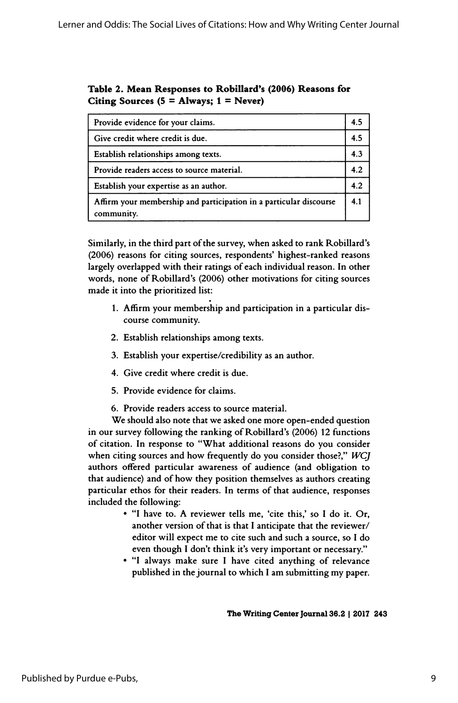# Table 2. Mean Responses to Robillard's (2006) Reasons for Citing Sources  $(5 =$  Always;  $1 =$  Never)

| Provide evidence for your claims.                                                | 4.5 |
|----------------------------------------------------------------------------------|-----|
| Give credit where credit is due.                                                 | 4.5 |
| Establish relationships among texts.                                             | 4.3 |
| Provide readers access to source material.                                       | 4.2 |
| Establish your expertise as an author.                                           | 4.2 |
| Affirm your membership and participation in a particular discourse<br>community. | 4.1 |

 Similarly, in the third part of the survey, when asked to rank Robillard's (2006) reasons for citing sources, respondents' highest-ranked reasons largely overlapped with their ratings of each individual reason. In other words, none of Robillard's (2006) other motivations for citing sources made it into the prioritized list:

- 1. Affirm your membership and participation in a particular dis course community.
- 2. Establish relationships among texts.
- 3. Establish your expertise/credibility as an author.
- 4. Give credit where credit is due.
- 5. Provide evidence for claims.
- 6. Provide readers access to source material.

 We should also note that we asked one more open-ended question in our survey following the ranking of Robillard's (2006) 12 functions of citation. In response to "What additional reasons do you consider when citing sources and how frequently do you consider those?," WCJ authors offered particular awareness of audience (and obligation to that audience) and of how they position themselves as authors creating particular ethos for their readers. In terms of that audience, responses included the following:

- "I have to. A reviewer tells me, 'cite this,' so I do it. Or, another version of that is that I anticipate that the reviewer/ editor will expect me to cite such and such a source, so I do even though I don't think it's very important or necessary."
- "I always make sure I have cited anything of relevance published in the journal to which I am submitting my paper.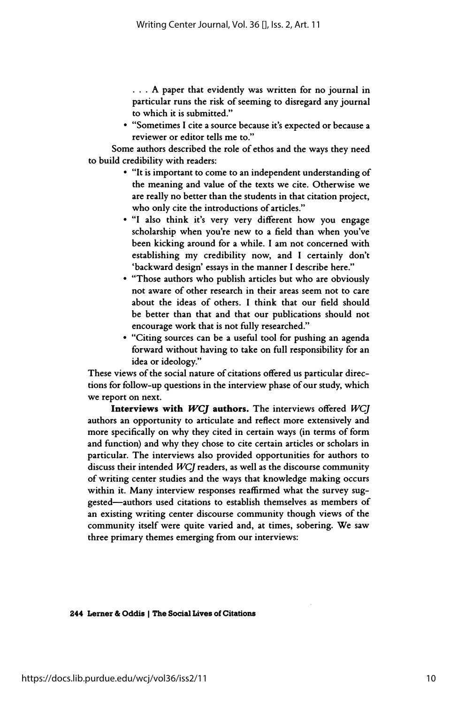... A paper that evidently was written for no journal in particular runs the risk of seeming to disregard any journal to which it is submitted."

 • "Sometimes I cite a source because iťs expected or because a reviewer or editor tells me to."

 Some authors described the role of ethos and the ways they need to build credibility with readers:

- "It is important to come to an independent understanding of the meaning and value of the texts we cite. Otherwise we are really no better than the students in that citation project, who only cite the introductions of articles."
- "I also think it's very very different how you engage scholarship when you're new to a field than when you've been kicking around for a while. I am not concerned with establishing my credibility now, and I certainly don't 'backward design' essays in the manner I describe here."
- "Those authors who publish articles but who are obviously not aware of other research in their areas seem not to care about the ideas of others. I think that our field should be better than that and that our publications should not encourage work that is not fully researched."
- "Citing sources can be a useful tool for pushing an agenda forward without having to take on full responsibility for an idea or ideology."

 These views of the social nature of citations offered us particular direc tions for follow-up questions in the interview phase of our study, which we report on next.

Interviews with WCJ authors. The interviews offered WCJ authors an opportunity to articulate and reflect more extensively and more specifically on why they cited in certain ways (in terms of form and function) and why they chose to cite certain articles or scholars in particular. The interviews also provided opportunities for authors to discuss their intended WCJ readers, as well as the discourse community of writing center studies and the ways that knowledge making occurs within it. Many interview responses reaffirmed what the survey sug gested-authors used citations to establish themselves as members of an existing writing center discourse community though views of the community itself were quite varied and, at times, sobering. We saw three primary themes emerging from our interviews: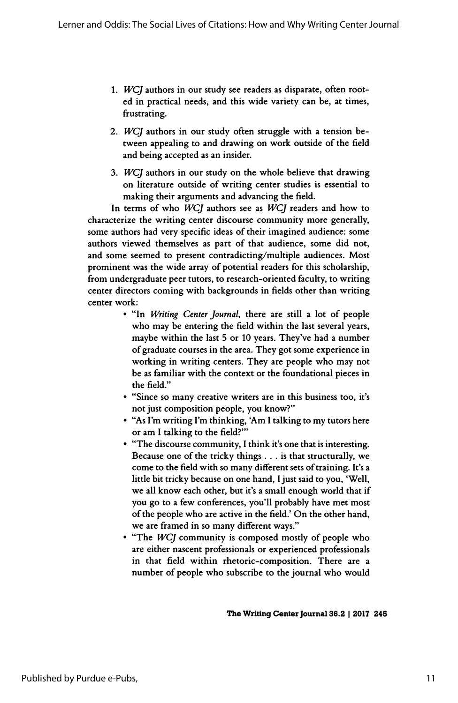- 1. WCJ authors in our study see readers as disparate, often root ed in practical needs, and this wide variety can be, at times, frustrating.
- 2. WCJ authors in our study often struggle with a tension be tween appealing to and drawing on work outside of the field and being accepted as an insider.
- 3. WCJ authors in our study on the whole believe that drawing on literature outside of writing center studies is essential to making their arguments and advancing the field.

In terms of who WCJ authors see as WCJ readers and how to characterize the writing center discourse community more generally, some authors had very specific ideas of their imagined audience: some authors viewed themselves as part of that audience, some did not, and some seemed to present contradicting/multiple audiences. Most prominent was the wide array of potential readers for this scholarship, from undergraduate peer tutors, to research-oriented faculty, to writing center directors coming with backgrounds in fields other than writing center work:

- "In Writing Center Journal, there are still a lot of people who may be entering the field within the last several years, maybe within the last 5 or 10 years. They've had a number of graduate courses in the area. They got some experience in working in writing centers. They are people who may not be as familiar with the context or the foundational pieces in the field."
- "Since so many creative writers are in this business too, it's not just composition people, you know?"
- "As I'm writing I'm thinking, Am I talking to my tutors here or am I talking to the field?"'
- "The discourse community, I think it's one that is interesting. Because one of the tricky things ... is that structurally, we come to the field with so many different sets of training. It's a little bit tricky because on one hand, I just said to you, 'Well, we all know each other, but it's a small enough world that if you go to a few conferences, you'll probably have met most of the people who are active in the field.' On the other hand, we are framed in so many different ways."
- "The WCJ community is composed mostly of people who are either nascent professionals or experienced professionals in that field within rhetoric-composition. There are a number of people who subscribe to the journal who would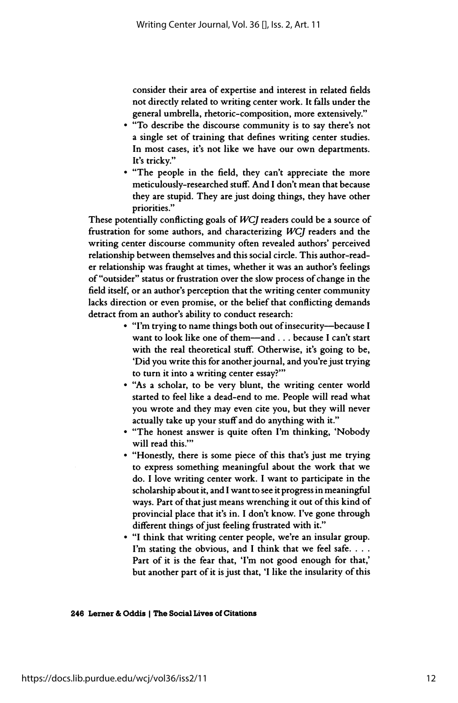consider their area of expertise and interest in related fields not directly related to writing center work. It falls under the general umbrella, rhetoric-composition, more extensively."

- "To describe the discourse community is to say there's not a single set of training that defines writing center studies. In most cases, it's not like we have our own departments. It's tricky."
- "The people in the field, they can't appreciate the more meticulously-researched stuff. And I don't mean that because they are stupid. They are just doing things, they have other priorities."

 These potentially conflicting goals of WCJ readers could be a source of frustration for some authors, and characterizing WCJ readers and the writing center discourse community often revealed authors' perceived relationship between themselves and this social circle. This author-read er relationship was fraught at times, whether it was an author's feelings of "outsider" status or frustration over the slow process of change in the field itself, or an author's perception that the writing center community lacks direction or even promise, or the belief that conflicting demands detract from an author's ability to conduct research:

- "I'm trying to name things both out of insecurity-because I want to look like one of them-and . . . because I can't start with the real theoretical stuff. Otherwise, it's going to be, 'Did you write this for another journal, and you're just trying to turn it into a writing center essay?"'
- "As a scholar, to be very blunt, the writing center world started to feel like a dead-end to me. People will read what you wrote and they may even cite you, but they will never actually take up your stuff and do anything with it."
- "The honest answer is quite often I'm thinking, 'Nobody will read this.'"
- "Honestly, there is some piece of this that's just me trying to express something meaningful about the work that we do. I love writing center work. I want to participate in the scholarship about it, and I want to see it progress in meaningful ways. Part of that just means wrenching it out of this kind of provincial place that it's in. I don't know. I've gone through different things of just feeling frustrated with it."
- "I think that writing center people, we're an insular group. I'm stating the obvious, and I think that we feel safe. . . . Part of it is the fear that, 'I'm not good enough for that,' but another part of it is just that, 'I like the insularity of this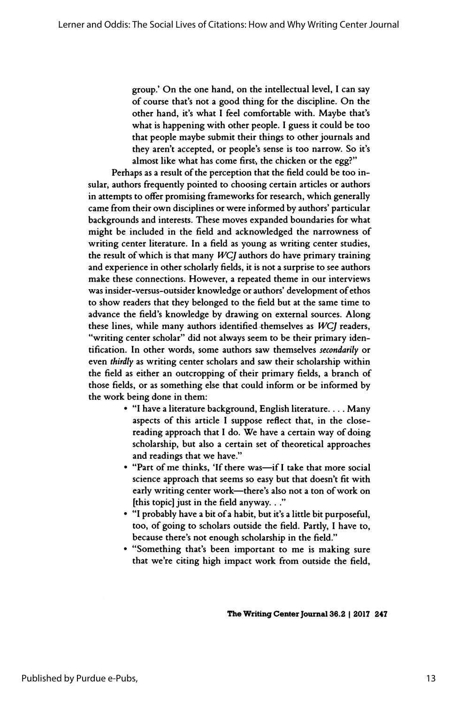group.' On the one hand, on the intellectual level, I can say of course that's not a good thing for the discipline. On the other hand, it's what I feel comfortable with. Maybe that's what is happening with other people. I guess it could be too that people maybe submit their things to other journals and they aren't accepted, or people's sense is too narrow. So it's almost like what has come first, the chicken or the egg?"

 Perhaps as a result of the perception that the field could be too in sular, authors frequently pointed to choosing certain articles or authors in attempts to offer promising frameworks for research, which generally came from their own disciplines or were informed by authors' particular backgrounds and interests. These moves expanded boundaries for what might be included in the field and acknowledged the narrowness of writing center literature. In a field as young as writing center studies, the result of which is that many  $WCJ$  authors do have primary training and experience in other scholarly fields, it is not a surprise to see authors make these connections. However, a repeated theme in our interviews was insider-versus-outsider knowledge or authors' development of ethos to show readers that they belonged to the field but at the same time to advance the field's knowledge by drawing on external sources. Along these lines, while many authors identified themselves as WCJ readers, "writing center scholar" did not always seem to be their primary iden tification. In other words, some authors saw themselves secondarily or even thirdly as writing center scholars and saw their scholarship within the field as either an outcropping of their primary fields, a branch of those fields, or as something else that could inform or be informed by the work being done in them:

- "I have a literature background, English literature. . . . Many aspects of this article I suppose reflect that, in the close reading approach that I do. We have a certain way of doing scholarship, but also a certain set of theoretical approaches and readings that we have."
- "Part of me thinks, 'If there was-if I take that more social science approach that seems so easy but that doesn't fit with early writing center work-there's also not a ton of work on [this topic] just in the field anyway. . ."
- "I probably have a bit of a habit, but it's a little bit purposeful, too, of going to scholars outside the field. Partly, I have to, because there's not enough scholarship in the field."
- "Something that's been important to me is making sure that we're citing high impact work from outside the field,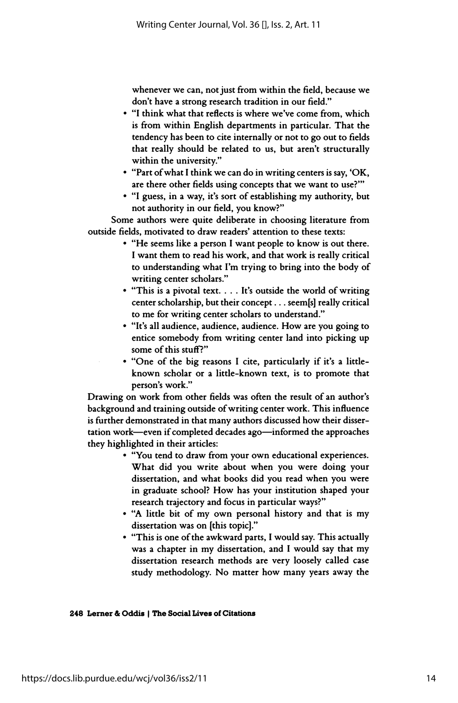whenever we can, not just from within the field, because we don't have a strong research tradition in our field."

- "I think what that reflects is where we've come from, which is from within English departments in particular. That the tendency has been to cite internally or not to go out to fields that really should be related to us, but aren't structurally within the university."
- "Part of what I think we can do in writing centers is say, 'OK, are there other fields using concepts that we want to use?"'
- "I guess, in a way, it's sort of establishing my authority, but not authority in our field, you know?"

 Some authors were quite deliberate in choosing literature from outside fields, motivated to draw readers' attention to these texts:

- "He seems like a person I want people to know is out there. I want them to read his work, and that work is really critical to understanding what I'm trying to bring into the body of writing center scholars."
- "This is a pivotal text. . . . It's outside the world of writing center scholarship, but their concept . . . seem[s] really critical to me for writing center scholars to understand."
- "It's all audience, audience, audience. How are you going to entice somebody from writing center land into picking up some of this stuff?"
- "One of the big reasons I cite, particularly if it's a little known scholar or a little-known text, is to promote that person's work."

 Drawing on work from other fields was often the result of an author's background and training outside of writing center work. This influence is further demonstrated in that many authors discussed how their disser tation work—even if completed decades ago—informed the approaches they highlighted in their articles:

- "You tend to draw from your own educational experiences. What did you write about when you were doing your dissertation, and what books did you read when you were in graduate school? How has your institution shaped your research trajectory and focus in particular ways?"
- "A little bit of my own personal history and that is my dissertation was on [this topic]."
- "This is one of the awkward parts, I would say. This actually was a chapter in my dissertation, and I would say that my dissertation research methods are very loosely called case study methodology. No matter how many years away the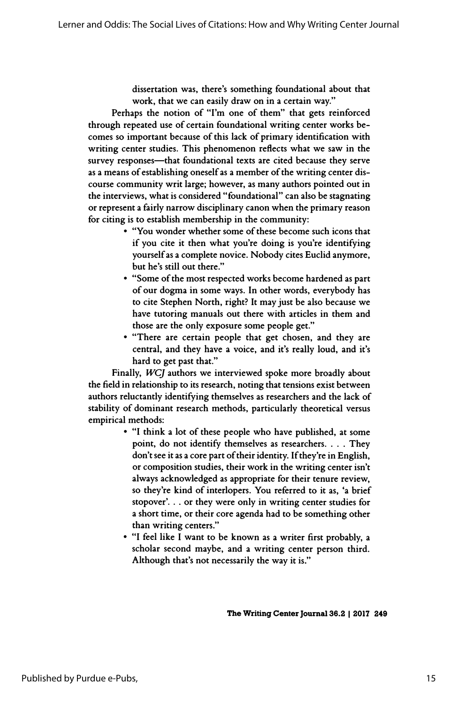dissertation was, there's something foundational about that work, that we can easily draw on in a certain way."

 Perhaps the notion of "I'm one of them" that gets reinforced through repeated use of certain foundational writing center works be comes so important because of this lack of primary identification with writing center studies. This phenomenon reflects what we saw in the survey responses—that foundational texts are cited because they serve as a means of establishing oneself as a member of the writing center dis course community writ large; however, as many authors pointed out in the interviews, what is considered "foundational" can also be stagnating or represent a fairly narrow disciplinary canon when the primary reason for citing is to establish membership in the community:

- "You wonder whether some of these become such icons that if you cite it then what you're doing is you're identifying yourself as a complete novice. Nobody cites Euclid anymore, but he's still out there."
- "Some of the most respected works become hardened as part of our dogma in some ways. In other words, everybody has to cite Stephen North, right? It may just be also because we have tutoring manuals out there with articles in them and those are the only exposure some people get."
- "There are certain people that get chosen, and they are central, and they have a voice, and it's really loud, and it's hard to get past that."

 Finally, WCJ authors we interviewed spoke more broadly about the field in relationship to its research, noting that tensions exist between authors reluctantly identifying themselves as researchers and the lack of stability of dominant research methods, particularly theoretical versus empirical methods:

- "I think a lot of these people who have published, at some point, do not identify themselves as researchers. . . . They don't see it as a core part of their identity. If they're in English, or composition studies, their work in the writing center isn't always acknowledged as appropriate for their tenure review, so they're kind of interlopers. You referred to it as, 'a brief stopover'. . . or they were only in writing center studies for a short time, or their core agenda had to be something other than writing centers."
- "I feel like I want to be known as a writer first probably, a scholar second maybe, and a writing center person third. Although that's not necessarily the way it is."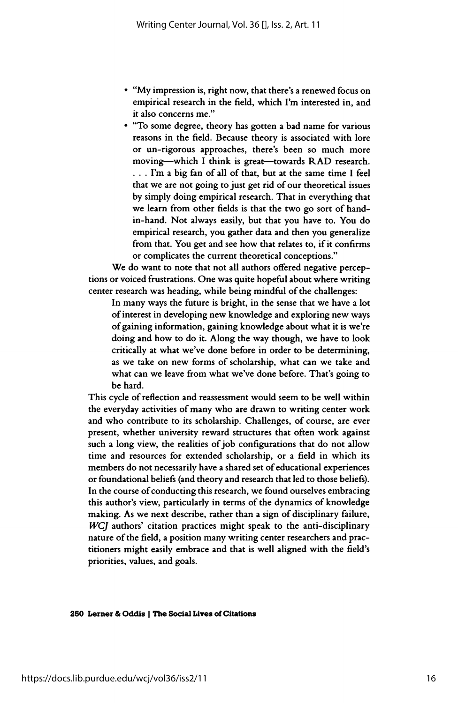- "My impression is, right now, that there's a renewed focus on empirical research in the field, which I'm interested in, and it also concerns me."
- "To some degree, theory has gotten a bad name for various reasons in the field. Because theory is associated with lore or un-rigorous approaches, there's been so much more moving-which I think is great-towards RAD research. . . . I'm a big fan of all of that, but at the same time I feel that we are not going to just get rid of our theoretical issues by simply doing empirical research. That in everything that we learn from other fields is that the two go sort of hand in-hand. Not always easily, but that you have to. You do empirical research, you gather data and then you generalize from that. You get and see how that relates to, if it confirms or complicates the current theoretical conceptions."

 We do want to note that not all authors offered negative percep tions or voiced frustrations. One was quite hopeful about where writing center research was heading, while being mindful of the challenges:

 In many ways the future is bright, in the sense that we have a lot of interest in developing new knowledge and exploring new ways of gaining information, gaining knowledge about what it is we're doing and how to do it. Along the way though, we have to look critically at what we've done before in order to be determining, as we take on new forms of scholarship, what can we take and what can we leave from what we've done before. That's going to be hard.

 This cycle of reflection and reassessment would seem to be well within the everyday activities of many who are drawn to writing center work and who contribute to its scholarship. Challenges, of course, are ever present, whether university reward structures that often work against such a long view, the realities of job configurations that do not allow time and resources for extended scholarship, or a field in which its members do not necessarily have a shared set of educational experiences or foundational beliefs (and theory and research that led to those beliefs). In the course of conducting this research, we found ourselves embracing this author's view, particularly in terms of the dynamics of knowledge making. As we next describe, rather than a sign of disciplinary failure, WCJ authors' citation practices might speak to the anti-disciplinary nature of the field, a position many writing center researchers and prac titioners might easily embrace and that is well aligned with the field's priorities, values, and goals.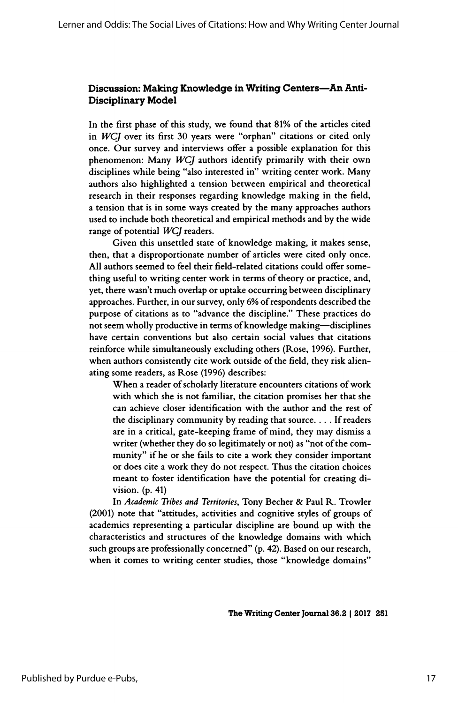# Discussion: Making Knowledge in Writing Centers—An Anti-Disciplinary Model

 In the first phase of this study, we found that 81% of the articles cited in  $WCJ$  over its first 30 years were "orphan" citations or cited only once. Our survey and interviews offer a possible explanation for this phenomenon: Many WCJ authors identify primarily with their own disciplines while being "also interested in" writing center work. Many authors also highlighted a tension between empirical and theoretical research in their responses regarding knowledge making in the field, a tension that is in some ways created by the many approaches authors used to include both theoretical and empirical methods and by the wide range of potential WCJ readers.

 Given this unsettled state of knowledge making, it makes sense, then, that a disproportionate number of articles were cited only once. All authors seemed to feel their field-related citations could offer some thing useful to writing center work in terms of theory or practice, and, yet, there wasn't much overlap or uptake occurring between disciplinary approaches. Further, in our survey, only 6% of respondents described the purpose of citations as to "advance the discipline." These practices do not seem wholly productive in terms of knowledge making—disciplines have certain conventions but also certain social values that citations reinforce while simultaneously excluding others (Rose, 1996). Further, when authors consistently cite work outside of the field, they risk alien ating some readers, as Rose (1996) describes:

 When a reader of scholarly literature encounters citations of work with which she is not familiar, the citation promises her that she can achieve closer identification with the author and the rest of the disciplinary community by reading that source. ... If readers are in a critical, gate-keeping frame of mind, they may dismiss a writer (whether they do so legitimately or not) as "not of the com munity" if he or she fails to cite a work they consider important or does cite a work they do not respect. Thus the citation choices meant to foster identification have the potential for creating di vision. (p. 41)

In Academic Tribes and Territories, Tony Becher & Paul R. Trowler (2001) note that "attitudes, activities and cognitive styles of groups of academics representing a particular discipline are bound up with the characteristics and structures of the knowledge domains with which such groups are professionally concerned" (p. 42). Based on our research, when it comes to writing center studies, those "knowledge domains"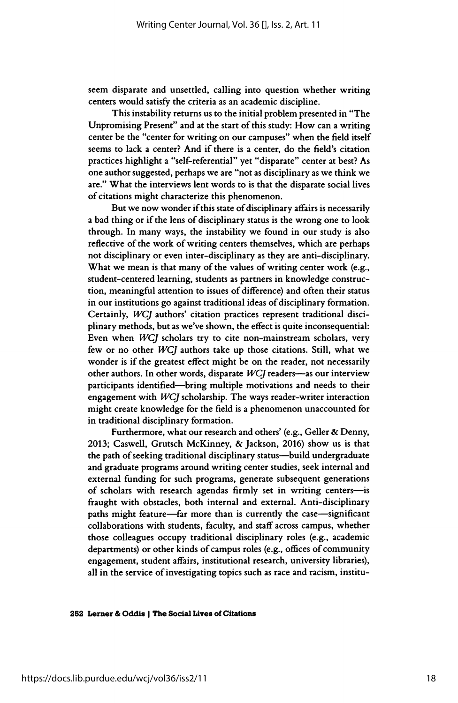seem disparate and unsettled, calling into question whether writing centers would satisfy the criteria as an academic discipline.

 This instability returns us to the initial problem presented in "The Unpromising Present" and at the start of this study: How can a writing center be the "center for writing on our campuses" when the field itself seems to lack a center? And if there is a center, do the field's citation practices highlight a "self-referential" yet "disparate" center at best? As one author suggested, perhaps we are "not as disciplinary as we think we are." What the interviews lent words to is that the disparate social lives of citations might characterize this phenomenon.

 But we now wonder if this state of disciplinary affairs is necessarily a bad thing or if the lens of disciplinary status is the wrong one to look through. In many ways, the instability we found in our study is also reflective of the work of writing centers themselves, which are perhaps not disciplinary or even inter-disciplinary as they are anti-disciplinary. What we mean is that many of the values of writing center work (e.g., student-centered learning, students as partners in knowledge construc tion, meaningful attention to issues of difference) and often their status in our institutions go against traditional ideas of disciplinary formation. Certainly, WCJ authors' citation practices represent traditional disci plinary methods, but as we've shown, the effect is quite inconsequential: Even when WCJ scholars try to cite non-mainstream scholars, very few or no other WCJ authors take up those citations. Still, what we wonder is if the greatest effect might be on the reader, not necessarily other authors. In other words, disparate  $WCI$  readers-as our interview participants identified-bring multiple motivations and needs to their engagement with WCJ scholarship. The ways reader-writer interaction might create knowledge for the field is a phenomenon unaccounted for in traditional disciplinary formation.

 Furthermore, what our research and others' (e.g., Geller & Denny, 2013; Caswell, Grutsch McKinney, & Jackson, 2016) show us is that the path of seeking traditional disciplinary status—build undergraduate and graduate programs around writing center studies, seek internal and external funding for such programs, generate subsequent generations of scholars with research agendas firmly set in writing centers-is fraught with obstacles, both internal and external. Anti-disciplinary paths might feature-far more than is currently the case-significant collaborations with students, faculty, and staff across campus, whether those colleagues occupy traditional disciplinary roles (e.g., academic departments) or other kinds of campus roles (e.g., offices of community engagement, student affairs, institutional research, university libraries), all in the service of investigating topics such as race and racism, institu-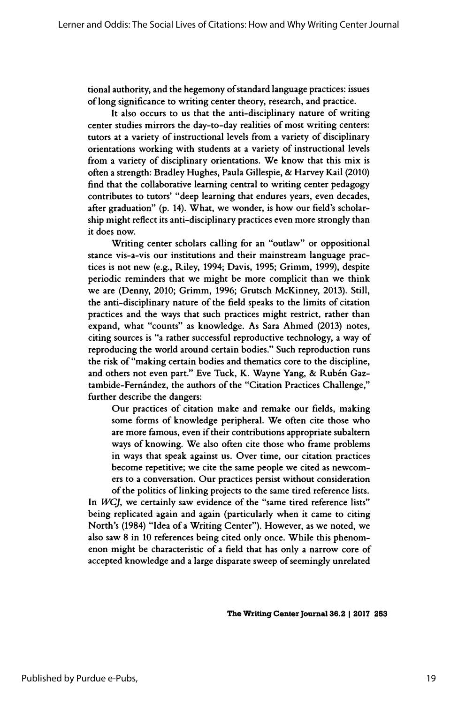tional authority, and the hegemony of standard language practices: issues of long significance to writing center theory, research, and practice.

 It also occurs to us that the anti-disciplinary nature of writing center studies mirrors the day-to-day realities of most writing centers: tutors at a variety of instructional levels from a variety of disciplinary orientations working with students at a variety of instructional levels from a variety of disciplinary orientations. We know that this mix is often a strength: Bradley Hughes, Paula Gillespie, & Harvey Kail (2010) find that the collaborative learning central to writing center pedagogy contributes to tutors' "deep learning that endures years, even decades, after graduation" (p. 14). What, we wonder, is how our field's scholar ship might reflect its anti-disciplinary practices even more strongly than it does now.

 Writing center scholars calling for an "outlaw" or oppositional stance vis-a-vis our institutions and their mainstream language prac tices is not new (e.g., Riley, 1994; Davis, 1995; Grimm, 1999), despite periodic reminders that we might be more complicit than we think we are (Denny, 2010; Grimm, 1996; Grutsch McKinney, 2013). Still, the anti-disciplinary nature of the field speaks to the limits of citation practices and the ways that such practices might restrict, rather than expand, what "counts" as knowledge. As Sara Ahmed (2013) notes, citing sources is "a rather successful reproductive technology, a way of reproducing the world around certain bodies." Such reproduction runs the risk of "making certain bodies and thematics core to the discipline, and others not even part." Eve Tuck, K. Wayne Yang, & Rubén Gaz tambide-Fernández, the authors of the "Citation Practices Challenge," further describe the dangers:

 Our practices of citation make and remake our fields, making some forms of knowledge peripheral. We often cite those who are more famous, even if their contributions appropriate subaltern ways of knowing. We also often cite those who frame problems in ways that speak against us. Over time, our citation practices become repetitive; we cite the same people we cited as newcom ers to a conversation. Our practices persist without consideration of the politics of linking projects to the same tired reference lists.

In  $W<sub>C</sub>$ , we certainly saw evidence of the "same tired reference lists" being replicated again and again (particularly when it came to citing North's (1984) "Idea of a Writing Center"). However, as we noted, we also saw 8 in 10 references being cited only once. While this phenom enon might be characteristic of a field that has only a narrow core of accepted knowledge and a large disparate sweep of seemingly unrelated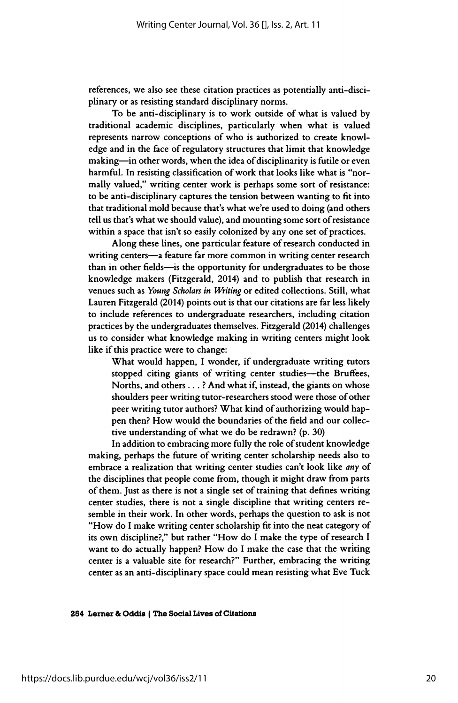references, we also see these citation practices as potentially anti-disci plinary or as resisting standard disciplinary norms.

 To be anti-disciplinary is to work outside of what is valued by traditional academic disciplines, particularly when what is valued represents narrow conceptions of who is authorized to create knowl edge and in the face of regulatory structures that limit that knowledge making—in other words, when the idea of disciplinarity is futile or even harmful. In resisting classification of work that looks like what is "nor mally valued," writing center work is perhaps some sort of resistance: to be anti-disciplinary captures the tension between wanting to fit into that traditional mold because that's what we're used to doing (and others tell us that's what we should value), and mounting some sort of resistance within a space that isn't so easily colonized by any one set of practices.

 Along these lines, one particular feature of research conducted in writing centers—a feature far more common in writing center research than in other fields—is the opportunity for undergraduates to be those knowledge makers (Fitzgerald, 2014) and to publish that research in venues such as Young Scholars in Writing or edited collections. Still, what Lauren Fitzgerald (2014) points out is that our citations are far less likely to include references to undergraduate researchers, including citation practices by the undergraduates themselves. Fitzgerald (2014) challenges us to consider what knowledge making in writing centers might look like if this practice were to change:

 What would happen, I wonder, if undergraduate writing tutors stopped citing giants of writing center studies-the Bruffees, Norths, and others ... ? And what if, instead, the giants on whose shoulders peer writing tutor-researchers stood were those of other peer writing tutor authors? What kind of authorizing would hap pen then? How would the boundaries of the field and our collec tive understanding of what we do be redrawn? (p. 30)

 In addition to embracing more fully the role of student knowledge making, perhaps the future of writing center scholarship needs also to embrace a realization that writing center studies can't look like any of the disciplines that people come from, though it might draw from parts of them. Just as there is not a single set of training that defines writing center studies, there is not a single discipline that writing centers re semble in their work. In other words, perhaps the question to ask is not "How do I make writing center scholarship fit into the neat category of its own discipline?," but rather "How do I make the type of research I want to do actually happen? How do I make the case that the writing center is a valuable site for research?" Further, embracing the writing center as an anti-disciplinary space could mean resisting what Eve Tuck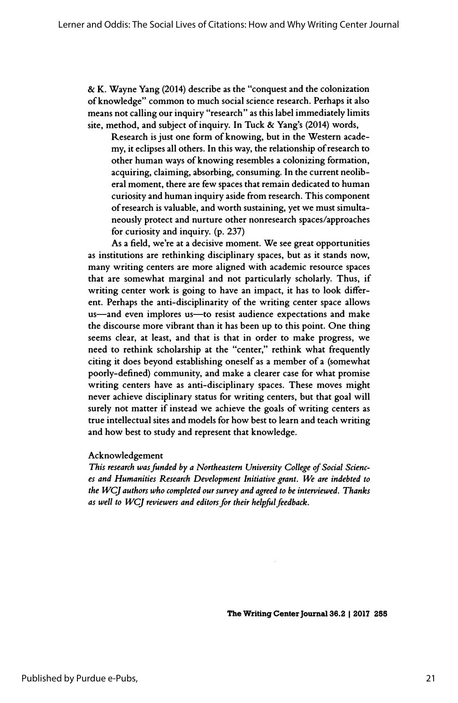& K. Wayne Yang (2014) describe as the "conquest and the colonization of knowledge" common to much social science research. Perhaps it also means not calling our inquiry "research" as this label immediately limits site, method, and subject of inquiry. In Tuck & Yang's (2014) words,

 Research is just one form of knowing, but in the Western acade my, it eclipses all others. In this way, the relationship of research to other human ways of knowing resembles a colonizing formation, acquiring, claiming, absorbing, consuming. In the current neolib eral moment, there are few spaces that remain dedicated to human curiosity and human inquiry aside from research. This component of research is valuable, and worth sustaining, yet we must simulta neously protect and nurture other nonresearch spaces/approaches for curiosity and inquiry, (p. 237)

 As a field, we're at a decisive moment. We see great opportunities as institutions are rethinking disciplinary spaces, but as it stands now, many writing centers are more aligned with academic resource spaces that are somewhat marginal and not particularly scholarly. Thus, if writing center work is going to have an impact, it has to look differ ent. Perhaps the anti-disciplinarity of the writing center space allows us—and even implores us—to resist audience expectations and make the discourse more vibrant than it has been up to this point. One thing seems clear, at least, and that is that in order to make progress, we need to rethink scholarship at the "center," rethink what frequently citing it does beyond establishing oneself as a member of a (somewhat poorly-defined) community, and make a clearer case for what promise writing centers have as anti-disciplinary spaces. These moves might never achieve disciplinary status for writing centers, but that goal will surely not matter if instead we achieve the goals of writing centers as true intellectual sites and models for how best to learn and teach writing and how best to study and represent that knowledge.

#### Acknowledgement

 This research was funded by a Northeastern University College of Social Scienc es and Humanities Research Development Initiative grant. We are indebted to the WCJ authors who completed our survey and agreed to be interviewed. Thanks as well to WCJ reviewers and editors for their helpful feedback.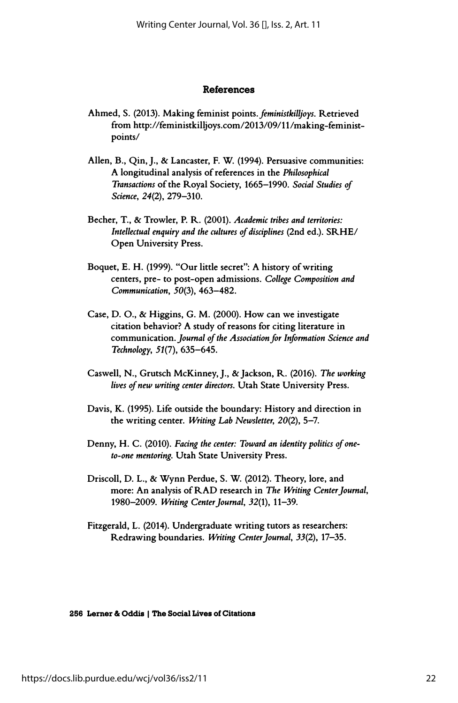#### References

- Ahmed, S. (2013). Making feminist points, feministkilljoys. Retrieved from http://feministkilljoys.com/2013/09/ll/making-feminist points/
- Allen, B., Qin, J., & Lancaster, F. W. (1994). Persuasive communities: A longitudinal analysis of references in the Philosophical Transactions of the Royal Society, 1665-1990. Social Studies of Science, 24(2), 279-310.
- Becher, T., & Trowler, P. R. (2001). Academic tribes and territories: Intellectual enquiry and the cultures of disciplines (2nd ed.). SRHE/ Open University Press.
- Boquet, E. H. (1999). "Our little secret": A history of writing centers, pre- to post-open admissions. College Composition and Communication, 50(3), 463-482.
- Case, D. O., & Higgins, G. M. (2000). How can we investigate citation behavior? A study of reasons for citing literature in communication. Journal of the Association for Information Science and Technology, 51(7), 635-645.
- Caswell, N., Grutsch McKinney, J., & Jackson, R. (2016). The working lives of new writing center directors. Utah State University Press.
- Davis, K. (1995). Life outside the boundary: History and direction in the writing center. Writing Lab Newsletter,  $20(2)$ , 5-7.
- Denny, H. C. (2010). Facing the center: Toward an identity politics of one to-one mentoring. Utah State University Press.
- Driscoll, D. L., & Wynn Perdue, S. W. (2012). Theory, lore, and more: An analysis of RAD research in The Writing Center Journal, 1980-2009. Writing Center Journal, 32(1), 11-39.
- Fitzgerald, L. (2014). Undergraduate writing tutors as researchers: Redrawing boundaries. Writing Center Journal, 33(2), 17-35.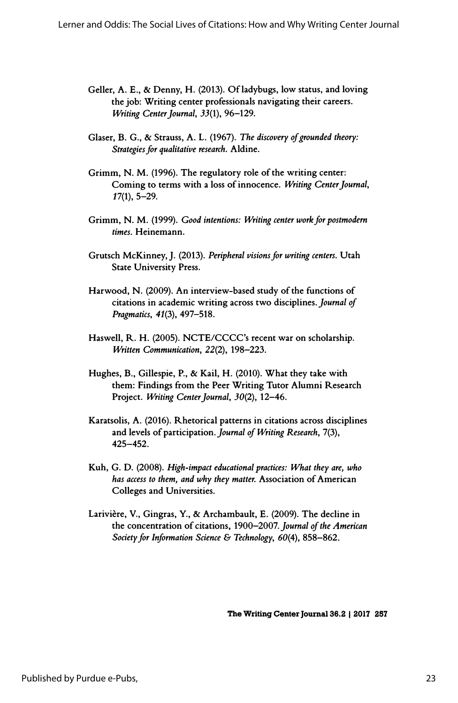- Geller, A. E., & Denny, H. (2013). Of ladybugs, low status, and loving the job: Writing center professionals navigating their careers. Writing Center Journal, 33(1), 96-129.
- Glaser, B. G., & Strauss, A. L. (1967). The discovery of grounded theory: Strategies for qualitative research. Aldine.
- Grimm, N. M. (1996). The regulatory role of the writing center: Coming to terms with a loss of innocence. Writing Center Journal, 17(1), 5-29.
- Grimm, N. M. (1999). Good intentions: Writing center work for postmodern times. Heinemann.
- Grutsch McKinney,J. (2013). Peripheral visions for writing centers. Utah State University Press.
- Harwood, N. (2009). An interview-based study of the functions of citations in academic writing across two disciplines. Journal of Pragmatics, 41(3), 497-518.
- Haswell, R. H. (2005). NCTE/CCCC's recent war on scholarship. Written Communication, 22(2), 198-223.
- Hughes, B., Gillespie, P., & Kail, H. (2010). What they take with them: Findings from the Peer Writing Tutor Alumni Research Project. Writing Center Journal, 30(2), 12-46.
- Karatsolis, A. (2016). Rhetorical patterns in citations across disciplines and levels of participation. Journal of Writing Research, 7(3), 425-452.
- Kuh, G. D. (2008). High-impact educational practices: What they are, who has access to them, and why they matter. Association of American Colleges and Universities.
- Larivière, V., Gingras, Y., & Archambault, E. (2009). The decline in the concentration of citations, 1900-2007. Journal of the American Society for Information Science & Technology, 60(4), 858-862.

The Writing Center Journal 36.2 | 2017 257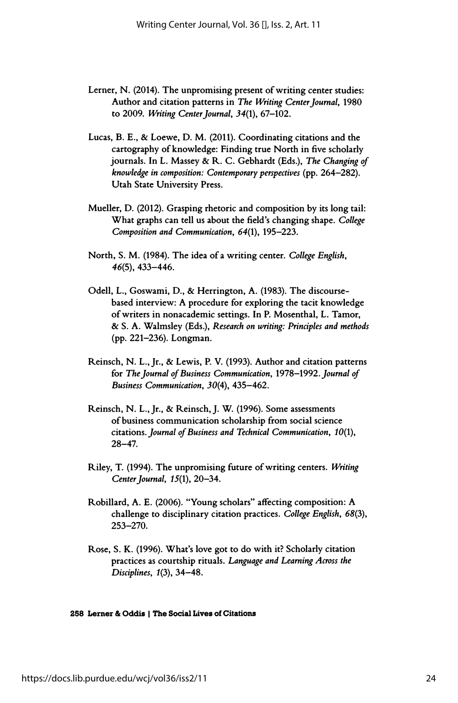- Lerner, N. (2014). The unpromising present of writing center studies: Author and citation patterns in The Writing Center Journal, 1980 to 2009. Writing Center Journal,  $34(1)$ ,  $67-102$ .
- Lucas, B. E., & Loewe, D. M. (2011). Coordinating citations and the cartography of knowledge: Finding true North in five scholarly journals. In L. Massey & R. C. Gebhardt (Eds.), The Changing of knowledge in composition: Contemporary perspectives (pp. 264-282). Utah State University Press.
- Mueller, D. (2012). Grasping rhetoric and composition by its long tail: What graphs can tell us about the field's changing shape. College Composition and Communication, 64(1), 195-223.
- North, S. M. (1984). The idea of a writing center. College English, 46(5), 433-446.
- Odell, L., Goswami, D., & Herrington, A. (1983). The discourse based interview: A procedure for exploring the tacit knowledge of writers in nonacademic settings. In P. Mosenthal, L. Tamor, & S. A. Walmsley (Eds.), Research on writing: Principles and methods (pp. 221-236). Longman.
- Reinsch, N. L., Jr., & Lewis, P. V. (1993). Author and citation patterns for The Journal of Business Communication, 1978-1992. Journal of Business Communication, 30(4), 435-462.
- Reinsch, N. L., Jr., & Reinsch, J. W. (1996). Some assessments of business communication scholarship from social science citations. Journal of Business and Technical Communication, 10(1), 28-47.
- Riley, T. (1994). The unpromising future of writing centers. Writing Center Journal,  $15(1)$ ,  $20-34$ .
- Robillard, A. E. (2006). "Young scholars" affecting composition: A challenge to disciplinary citation practices. College English, 68(3), 253-270.
- Rose, S. K. (1996). What's love got to do with it? Scholarly citation practices as courtship rituals. Language and Learning Across the Disciplines, 1(3), 34-48.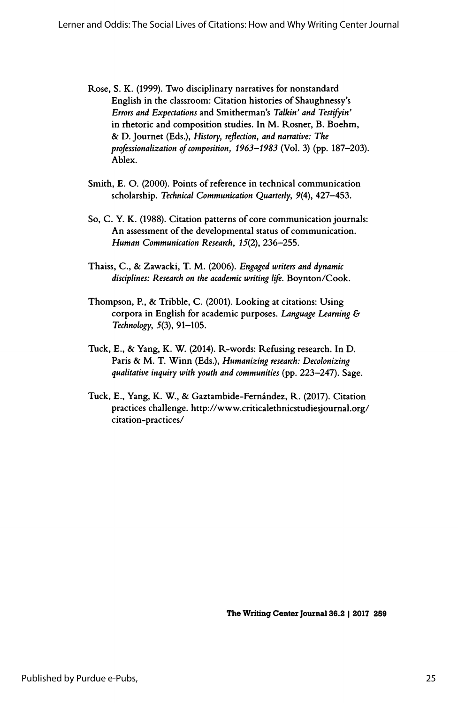- Rose, S. K. (1999). Two disciplinary narratives for nonstandard English in the classroom: Citation histories of Shaughnessy's Errors and Expectations and Smitherman's Talkin' and Testifyin' in rhetoric and composition studies. In M. Rosner, B. Boehm, & D. Journet (Eds.), History, reflection, and narrative: The professionalization of composition, 1963-1983 (Vol. 3) (pp. 187-203). Ablex.
- Smith, E. O. (2000). Points of reference in technical communication scholarship. Technical Communication Quarterly, 9(4), 427-453.
- So, C. Y. K. (1988). Citation patterns of core communication journals: An assessment of the developmental status of communication. Human Communication Research, 15(2), 236-255.
- Thaiss, C., & Zawacki, T. M. (2006). Engaged writers and dynamic disciplines: Research on the academic writing life. Boynton/Cook.
- Thompson, P., & Tribble, C. (2001). Looking at citations: Using corpora in English for academic purposes. Language Learning & Technology, 5(3), 91-105.
- Tuck, E., & Yang, K. W. (2014). R-words: Refusing research. In D. Paris & M. T. Winn (Eds.), Humanizing research: Decolonizing qualitative inquiry with youth and communities (pp. 223-247). Sage.
- Tuck, E., Yang, K. W., & Gaztambide-Fernández, R. (2017). Citation practices challenge, http://www.criticalethnicstudiesjournal.org/ citation-practices/

The Writing Center Journal 36.2 | 2017 259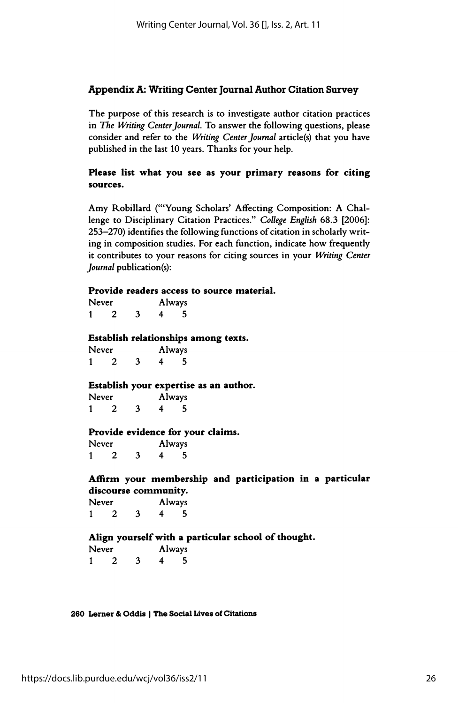# Appendix A: Writing Center Journal Author Citation Survey

 The purpose of this research is to investigate author citation practices in The Writing Center Journal. To answer the following questions, please consider and refer to the Writing Center Journal article(s) that you have published in the last 10 years. Thanks for your help.

## Please list what you see as your primary reasons for citing sources.

Amy Robillard ("'Young Scholars' Affecting Composition: A Chal lenge to Disciplinary Citation Practices." College English 68.3 [2006]: 253-270) identifies the following functions of citation in scholarly writ ing in composition studies. For each function, indicate how frequently it contributes to your reasons for citing sources in your Writing Center Journal publication(s):

# Provide readers access to source material.

| Never |   |  |   | Always |
|-------|---|--|---|--------|
| 1     | 2 |  | 4 | 5      |

#### Establish relationships among texts.

| Never |  |   |   | Always |
|-------|--|---|---|--------|
|       |  | 3 | 4 | 5      |

#### Establish your expertise as an author.

| Never |  |   | Always |   |
|-------|--|---|--------|---|
|       |  | 3 | 4      | 5 |

# **Provide evidence for your claims.**<br>Never **Always**

Never Always<br>1 2 3 4 5 Never Always<br>1 2 3 4 5

# Affirm your membership and participation in a particular Affirm your membership and participation in a particular<br>discourse community.<br>Nover a chinous

| Never |  |   |   | Always |
|-------|--|---|---|--------|
|       |  | 3 | 4 | 5      |

#### Align yourself with a particular school of thought.

| Never |  |   |   | <b>Always</b> |
|-------|--|---|---|---------------|
|       |  | 3 | 4 | 5             |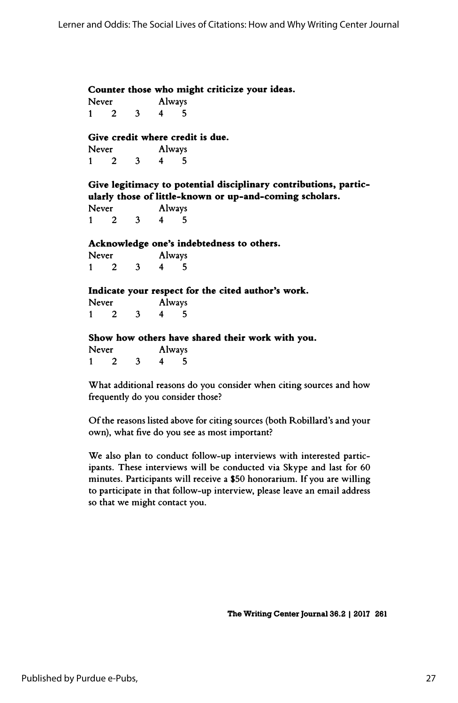Counter those who might criticize your ideas.<br>Never **Always** 

Never Always<br>1 2 3 4 5 Never Always<br>1 2 3 4 5

# Give credit where credit is due.

| Never |  |   |   | Always |
|-------|--|---|---|--------|
|       |  | 3 | 4 | 5      |

 Give legitimacy to potential disciplinary contributions, partic ularly those of little-known or up-and-coming scholars.

| Never |  |   |   | Always |
|-------|--|---|---|--------|
|       |  | 3 | 4 | 5      |

# Acknowledge one's indebtedness to others.

| Never |   |   |   | Always |
|-------|---|---|---|--------|
|       | 2 | 3 | 4 | 5      |

### Indicate your respect for the cited author's work.

| Never |   |  |   | Always |
|-------|---|--|---|--------|
| 1     | 2 |  | 4 | 5      |

### Show how others have shared their work with you.

| Never |  |   |   | Always |
|-------|--|---|---|--------|
|       |  | 3 | 4 | 5      |

What additional reasons do you consider when citing sources and how What additional reasons do you consider when citing sources and how<br>frequently do you consider those?

 Of the reasons listed above for citing sources (both Robillard's and your Of the reasons listed above for citing sources (both Robillard's and your<br>own), what five do you see as most important?

 We also plan to conduct follow-up interviews with interested partic ipants. These interviews will be conducted via Skype and last for 60 minutes. Participants will receive a \$50 honorarium. If you are willing minutes. Participants will receive a \$50 honorarium. It you are willing<br>to participate in that follow-up interview, please leave an email address<br>se that we wish to entert were to participate in that follow-up interview, please leave an email address<br>so that we might contact you.

The Writing Center Journal 36.2 | 2017 261